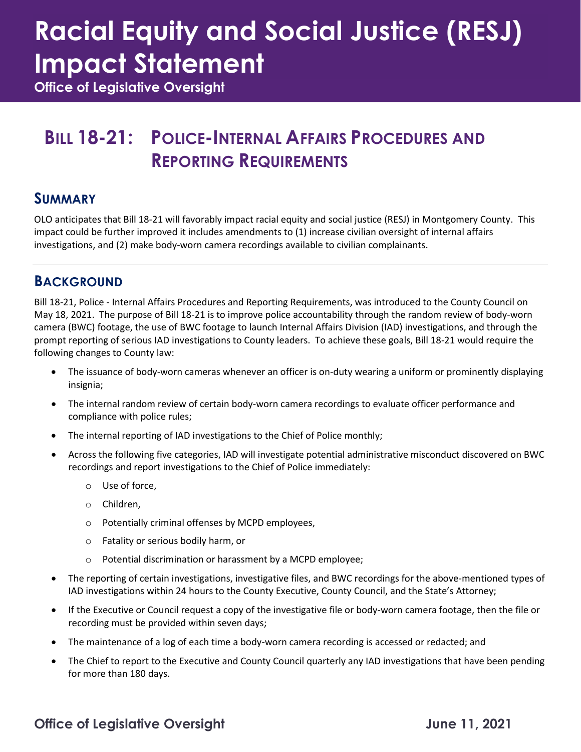# **Racial Equity and Social Justice (RESJ) Impact Statement**

**Office of Legislative Oversight**

### **BILL 18-21: POLICE-INTERNAL AFFAIRS PROCEDURES AND REPORTING REQUIREMENTS**

#### **SUMMARY**

OLO anticipates that Bill 18-21 will favorably impact racial equity and social justice (RESJ) in Montgomery County. This impact could be further improved it includes amendments to (1) increase civilian oversight of internal affairs investigations, and (2) make body-worn camera recordings available to civilian complainants.

#### **BACKGROUND**

Bill 18-21, Police - Internal Affairs Procedures and Reporting Requirements, was introduced to the County Council on May 18, 2021. The purpose of Bill 18-21 is to improve police accountability through the random review of body-worn camera (BWC) footage, the use of BWC footage to launch Internal Affairs Division (IAD) investigations, and through the prompt reporting of serious IAD investigations to County leaders. To achieve these goals, Bill 18-21 would require the following changes to County law:

- The issuance of body-worn cameras whenever an officer is on-duty wearing a uniform or prominently displaying insignia;
- The internal random review of certain body-worn camera recordings to evaluate officer performance and compliance with police rules;
- The internal reporting of IAD investigations to the Chief of Police monthly;
- Across the following five categories, IAD will investigate potential administrative misconduct discovered on BWC recordings and report investigations to the Chief of Police immediately:
	- o Use of force,
	- o Children,
	- o Potentially criminal offenses by MCPD employees,
	- o Fatality or serious bodily harm, or
	- o Potential discrimination or harassment by a MCPD employee;
- The reporting of certain investigations, investigative files, and BWC recordings for the above-mentioned types of IAD investigations within 24 hours to the County Executive, County Council, and the State's Attorney;
- If the Executive or Council request a copy of the investigative file or body-worn camera footage, then the file or recording must be provided within seven days;
- The maintenance of a log of each time a body-worn camera recording is accessed or redacted; and
- The Chief to report to the Executive and County Council quarterly any IAD investigations that have been pending for more than 180 days.

#### **Office of Legislative Oversight Community Community Community Community Community Community Community Community**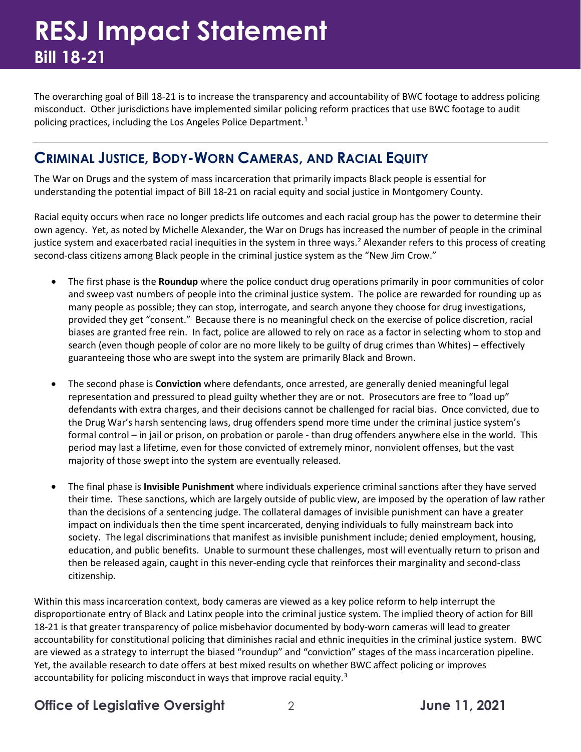The overarching goal of Bill 18-21 is to increase the transparency and accountability of BWC footage to address policing misconduct. Other jurisdictions have implemented similar policing reform practices that use BWC footage to audit policing practices, including the Los Angeles Police Department.<sup>[1](#page-5-0)</sup>

#### **CRIMINAL JUSTICE, BODY-WORN CAMERAS, AND RACIAL EQUITY**

The War on Drugs and the system of mass incarceration that primarily impacts Black people is essential for understanding the potential impact of Bill 18-21 on racial equity and social justice in Montgomery County.

Racial equity occurs when race no longer predicts life outcomes and each racial group has the power to determine their own agency. Yet, as noted by Michelle Alexander, the War on Drugs has increased the number of people in the criminal justice system and exacerbated racial inequities in the system in three ways.<sup>[2](#page-5-1)</sup> Alexander refers to this process of creating second-class citizens among Black people in the criminal justice system as the "New Jim Crow."

- The first phase is the **Roundup** where the police conduct drug operations primarily in poor communities of color and sweep vast numbers of people into the criminal justice system. The police are rewarded for rounding up as many people as possible; they can stop, interrogate, and search anyone they choose for drug investigations, provided they get "consent." Because there is no meaningful check on the exercise of police discretion, racial biases are granted free rein. In fact, police are allowed to rely on race as a factor in selecting whom to stop and search (even though people of color are no more likely to be guilty of drug crimes than Whites) – effectively guaranteeing those who are swept into the system are primarily Black and Brown.
- The second phase is **Conviction** where defendants, once arrested, are generally denied meaningful legal representation and pressured to plead guilty whether they are or not. Prosecutors are free to "load up" defendants with extra charges, and their decisions cannot be challenged for racial bias. Once convicted, due to the Drug War's harsh sentencing laws, drug offenders spend more time under the criminal justice system's formal control – in jail or prison, on probation or parole - than drug offenders anywhere else in the world. This period may last a lifetime, even for those convicted of extremely minor, nonviolent offenses, but the vast majority of those swept into the system are eventually released.
- The final phase is **Invisible Punishment** where individuals experience criminal sanctions after they have served their time. These sanctions, which are largely outside of public view, are imposed by the operation of law rather than the decisions of a sentencing judge. The collateral damages of invisible punishment can have a greater impact on individuals then the time spent incarcerated, denying individuals to fully mainstream back into society. The legal discriminations that manifest as invisible punishment include; denied employment, housing, education, and public benefits. Unable to surmount these challenges, most will eventually return to prison and then be released again, caught in this never-ending cycle that reinforces their marginality and second-class citizenship.

Within this mass incarceration context, body cameras are viewed as a key police reform to help interrupt the disproportionate entry of Black and Latinx people into the criminal justice system. The implied theory of action for Bill 18-21 is that greater transparency of police misbehavior documented by body-worn cameras will lead to greater accountability for constitutional policing that diminishes racial and ethnic inequities in the criminal justice system. BWC are viewed as a strategy to interrupt the biased "roundup" and "conviction" stages of the mass incarceration pipeline. Yet, the available research to date offers at best mixed results on whether BWC affect policing or improves accountability for policing misconduct in ways that improve racial equity.<sup>[3](#page-5-2)</sup>

#### **Office of Legislative Oversight** 2 **June 11, 2021**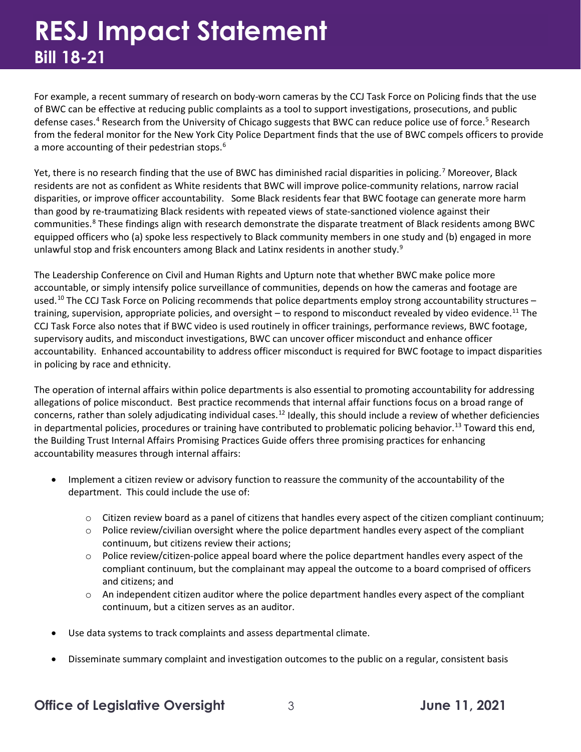For example, a recent summary of research on body-worn cameras by the CCJ Task Force on Policing finds that the use of BWC can be effective at reducing public complaints as a tool to support investigations, prosecutions, and public defense cases.<sup>4</sup> Research from the University of Chicago suggests that BWC can reduce police use of force.<sup>[5](#page-5-4)</sup> Research from the federal monitor for the New York City Police Department finds that the use of BWC compels officers to provide a more accounting of their pedestrian stops.<sup>[6](#page-5-5)</sup>

Yet, there is no research finding that the use of BWC has diminished racial disparities in policing.<sup>[7](#page-5-6)</sup> Moreover, Black residents are not as confident as White residents that BWC will improve police-community relations, narrow racial disparities, or improve officer accountability. Some Black residents fear that BWC footage can generate more harm than good by re-traumatizing Black residents with repeated views of state-sanctioned violence against their communities.<sup>[8](#page-5-7)</sup> These findings align with research demonstrate the disparate treatment of Black residents among BWC equipped officers who (a) spoke less respectively to Black community members in one study and (b) engaged in more unlawful stop and frisk encounters among Black and Latinx residents in another study.<sup>[9](#page-5-8)</sup>

The Leadership Conference on Civil and Human Rights and Upturn note that whether BWC make police more accountable, or simply intensify police surveillance of communities, depends on how the cameras and footage are used.<sup>[10](#page-5-9)</sup> The CCJ Task Force on Policing recommends that police departments employ strong accountability structures – training, supervision, appropriate policies, and oversight  $-$  to respond to misconduct revealed by video evidence.<sup>[11](#page-5-10)</sup> The CCJ Task Force also notes that if BWC video is used routinely in officer trainings, performance reviews, BWC footage, supervisory audits, and misconduct investigations, BWC can uncover officer misconduct and enhance officer accountability. Enhanced accountability to address officer misconduct is required for BWC footage to impact disparities in policing by race and ethnicity.

The operation of internal affairs within police departments is also essential to promoting accountability for addressing allegations of police misconduct. Best practice recommends that internal affair functions focus on a broad range of concerns, rather than solely adjudicating individual cases.<sup>[12](#page-5-11)</sup> Ideally, this should include a review of whether deficiencies in departmental policies, procedures or training have contributed to problematic policing behavior.<sup>[13](#page-5-12)</sup> Toward this end, the Building Trust Internal Affairs Promising Practices Guide offers three promising practices for enhancing accountability measures through internal affairs:

- Implement a citizen review or advisory function to reassure the community of the accountability of the department. This could include the use of:
	- $\circ$  Citizen review board as a panel of citizens that handles every aspect of the citizen compliant continuum;
	- $\circ$  Police review/civilian oversight where the police department handles every aspect of the compliant continuum, but citizens review their actions;
	- $\circ$  Police review/citizen-police appeal board where the police department handles every aspect of the compliant continuum, but the complainant may appeal the outcome to a board comprised of officers and citizens; and
	- $\circ$  An independent citizen auditor where the police department handles every aspect of the compliant continuum, but a citizen serves as an auditor.
- Use data systems to track complaints and assess departmental climate.
- Disseminate summary complaint and investigation outcomes to the public on a regular, consistent basis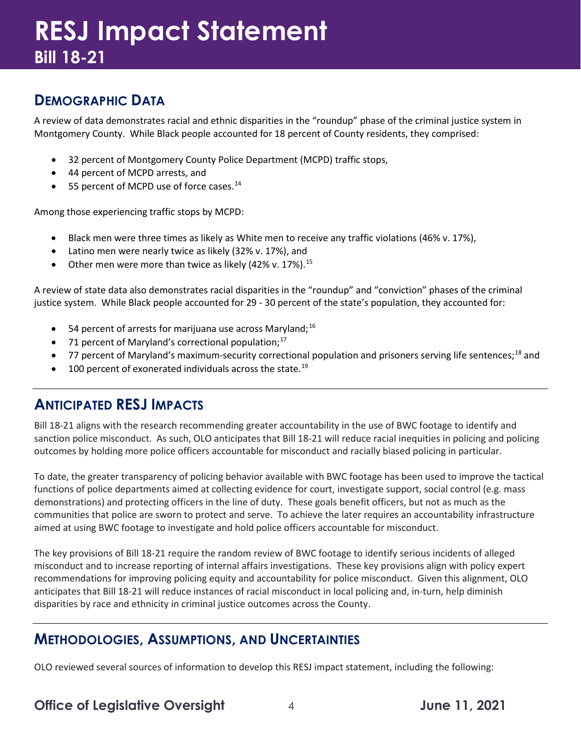#### **DEMOGRAPHIC DATA**

A review of data demonstrates racial and ethnic disparities in the "roundup" phase of the criminal justice system in Montgomery County. While Black people accounted for 18 percent of County residents, they comprised:

- 32 percent of Montgomery County Police Department (MCPD) traffic stops,
- 44 percent of MCPD arrests, and
- 55 percent of MCPD use of force cases.<sup>[14](#page-5-13)</sup>

Among those experiencing traffic stops by MCPD:

- Black men were three times as likely as White men to receive any traffic violations (46% v. 17%),
- Latino men were nearly twice as likely (32% v. 17%), and
- Other men were more than twice as likely (42% v. 17%).<sup>[15](#page-5-14)</sup>

A review of state data also demonstrates racial disparities in the "roundup" and "conviction" phases of the criminal justice system. While Black people accounted for 29 - 30 percent of the state's population, they accounted for:

- 54 percent of arrests for marijuana use across Maryland;<sup>[16](#page-5-15)</sup>
- 71 percent of Maryland's correctional population; $^{17}$  $^{17}$  $^{17}$
- 77 percent of Maryland's maximum-security correctional population and prisoners serving life sentences;<sup>[18](#page-5-17)</sup> and
- $\bullet$  100 percent of exonerated individuals across the state.<sup>[19](#page-5-18)</sup>

#### **ANTICIPATED RESJ IMPACTS**

Bill 18-21 aligns with the research recommending greater accountability in the use of BWC footage to identify and sanction police misconduct. As such, OLO anticipates that Bill 18-21 will reduce racial inequities in policing and policing outcomes by holding more police officers accountable for misconduct and racially biased policing in particular.

To date, the greater transparency of policing behavior available with BWC footage has been used to improve the tactical functions of police departments aimed at collecting evidence for court, investigate support, social control (e.g. mass demonstrations) and protecting officers in the line of duty. These goals benefit officers, but not as much as the communities that police are sworn to protect and serve. To achieve the later requires an accountability infrastructure aimed at using BWC footage to investigate and hold police officers accountable for misconduct.

The key provisions of Bill 18-21 require the random review of BWC footage to identify serious incidents of alleged misconduct and to increase reporting of internal affairs investigations. These key provisions align with policy expert recommendations for improving policing equity and accountability for police misconduct. Given this alignment, OLO anticipates that Bill 18-21 will reduce instances of racial misconduct in local policing and, in-turn, help diminish disparities by race and ethnicity in criminal justice outcomes across the County.

#### **METHODOLOGIES, ASSUMPTIONS, AND UNCERTAINTIES**

OLO reviewed several sources of information to develop this RESJ impact statement, including the following:

#### **Office of Legislative Oversight** 4 **June 11, 2021**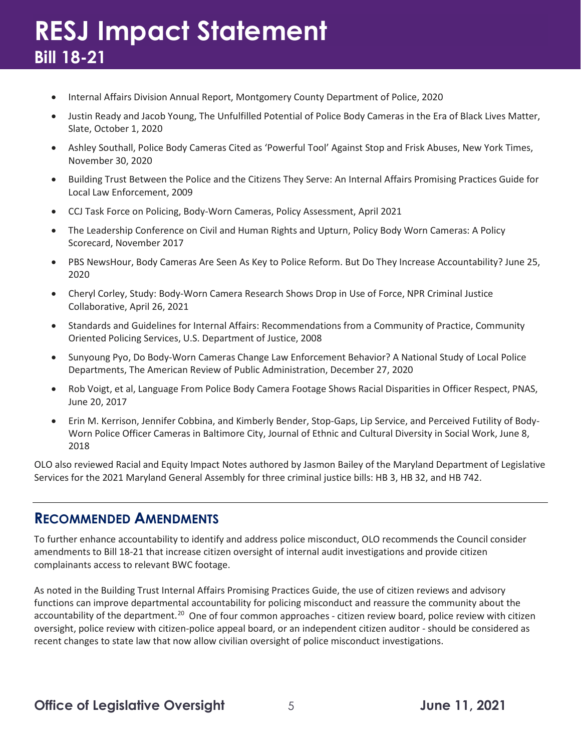- Internal Affairs Division Annual Report, Montgomery County Department of Police, 2020
- Justin Ready and Jacob Young, The Unfulfilled Potential of Police Body Cameras in the Era of Black Lives Matter, Slate, October 1, 2020
- Ashley Southall, Police Body Cameras Cited as 'Powerful Tool' Against Stop and Frisk Abuses, New York Times, November 30, 2020
- Building Trust Between the Police and the Citizens They Serve: An Internal Affairs Promising Practices Guide for Local Law Enforcement, 2009
- CCJ Task Force on Policing, Body-Worn Cameras, Policy Assessment, April 2021
- The Leadership Conference on Civil and Human Rights and Upturn, Policy Body Worn Cameras: A Policy Scorecard, November 2017
- PBS NewsHour, Body Cameras Are Seen As Key to Police Reform. But Do They Increase Accountability? June 25, 2020
- Cheryl Corley, Study: Body-Worn Camera Research Shows Drop in Use of Force, NPR Criminal Justice Collaborative, April 26, 2021
- Standards and Guidelines for Internal Affairs: Recommendations from a Community of Practice, Community Oriented Policing Services, U.S. Department of Justice, 2008
- Sunyoung Pyo, Do Body-Worn Cameras Change Law Enforcement Behavior? A National Study of Local Police Departments, The American Review of Public Administration, December 27, 2020
- Rob Voigt, et al, Language From Police Body Camera Footage Shows Racial Disparities in Officer Respect, PNAS, June 20, 2017
- Erin M. Kerrison, Jennifer Cobbina, and Kimberly Bender, Stop-Gaps, Lip Service, and Perceived Futility of Body-Worn Police Officer Cameras in Baltimore City, Journal of Ethnic and Cultural Diversity in Social Work, June 8, 2018

OLO also reviewed Racial and Equity Impact Notes authored by Jasmon Bailey of the Maryland Department of Legislative Services for the 2021 Maryland General Assembly for three criminal justice bills: HB 3, HB 32, and HB 742.

#### **RECOMMENDED AMENDMENTS**

To further enhance accountability to identify and address police misconduct, OLO recommends the Council consider amendments to Bill 18-21 that increase citizen oversight of internal audit investigations and provide citizen complainants access to relevant BWC footage.

As noted in the Building Trust Internal Affairs Promising Practices Guide, the use of citizen reviews and advisory functions can improve departmental accountability for policing misconduct and reassure the community about the accountability of the department.<sup>[20](#page-5-19)</sup> One of four common approaches - citizen review board, police review with citizen oversight, police review with citizen-police appeal board, or an independent citizen auditor - should be considered as recent changes to state law that now allow civilian oversight of police misconduct investigations.